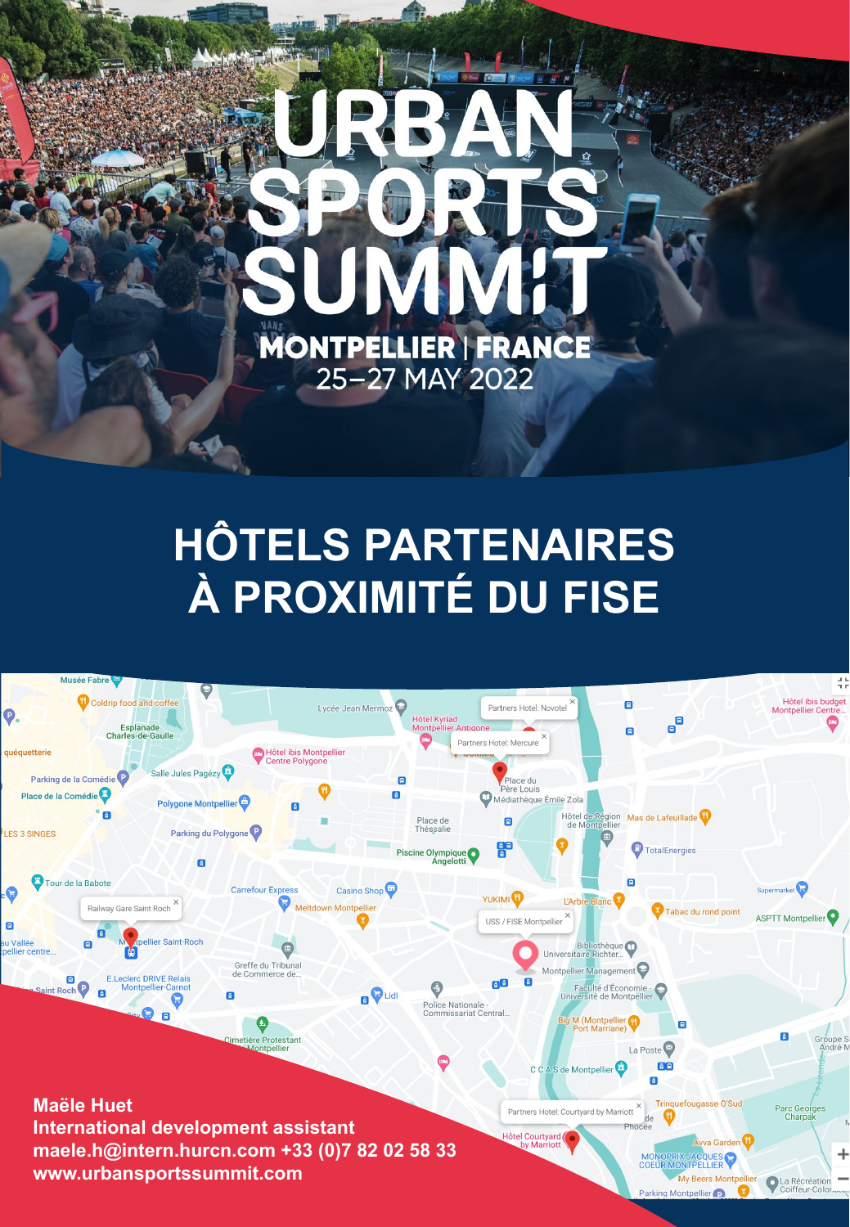

# **HÔTELS PARTENAIRES** À PROXIMITÉ DU FISE